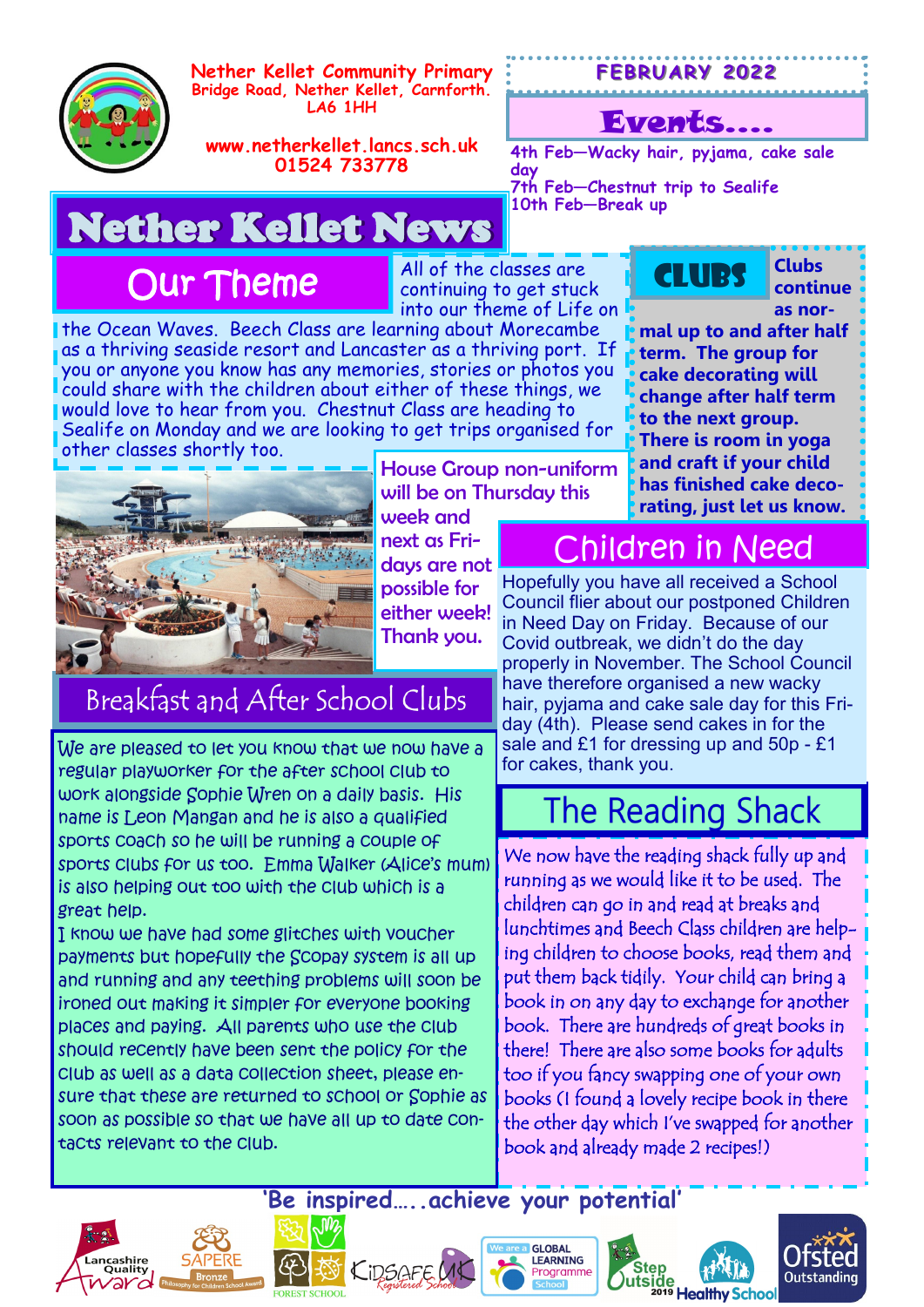

**Nether Kellet Community Primary Bridge Road, Nether Kellet, Carnforth. LA6 1HH**

#### **F EB RU A RY 20 22**

#### Events….

**CLUBS** 

**4th Feb—Wacky hair, pyjama, cake sale** 

**7th Feb—Chestnut trip to Sealife**

**10th Feb—Break up**

**www.netherkellet.lancs.sch.uk 01524 733778**

# Nether Kellet News

Our Theme

All of the classes are continuing to get stuck into our theme of Life on

**day**

the Ocean Waves. Beech Class are learning about Morecambe as a thriving seaside resort and Lancaster as a thriving port. If you or anyone you know has any memories, stories or photos you could share with the children about either of these things, we would love to hear from you. Chestnut Class are heading to Sealife on Monday and we are looking to get trips organised for other classes shortly too.



House Group non-uniform will be on Thursday this week and

next as Fridays are not possible for either week! Thank you.

### Breakfast and After School Clubs

We are pleased to let you know that we now have a regular playworker for the after school club to work alongside Sophie Wren on a daily basis. His name is Leon Mangan and he is also a qualified sports coach so he will be running a couple of sports clubs for us too. Emma Walker (Alice's mum) is also helping out too with the club which is a great help.

I know we have had some glitches with voucher payments but hopefully the Scopay system is all up and running and any teething problems will soon be ironed out making it simpler for everyone booking places and paying. All parents who use the club should recently have been sent the policy for the club as well as a data collection sheet, please ensure that these are returned to school or Sophie as soon as possible so that we have all up to date contacts relevant to the club.

**as normal up to and after half term. The group for cake decorating will change after half term to the next group. There is room in yoga and craft if your child has finished cake decorating, just let us know.**

**Clubs continue** 

### Children in Need

Hopefully you have all received a School Council flier about our postponed Children in Need Day on Friday. Because of our Covid outbreak, we didn't do the day properly in November. The School Council have therefore organised a new wacky hair, pyjama and cake sale day for this Friday (4th). Please send cakes in for the sale and £1 for dressing up and 50p - £1 for cakes, thank you.

### **The Reading Shack**

We now have the reading shack fully up and running as we would like it to be used. The children can go in and read at breaks and lunchtimes and Beech Class children are helping children to choose books, read them and put them back tidily. Your child can bring a book in on any day to exchange for another book. There are hundreds of great books in there! There are also some books for adults too if you fancy swapping one of your own books (I found a lovely recipe book in there the other day which I've swapped for another book and already made 2 recipes!)

**'Be inspired…..achieve your potential'**